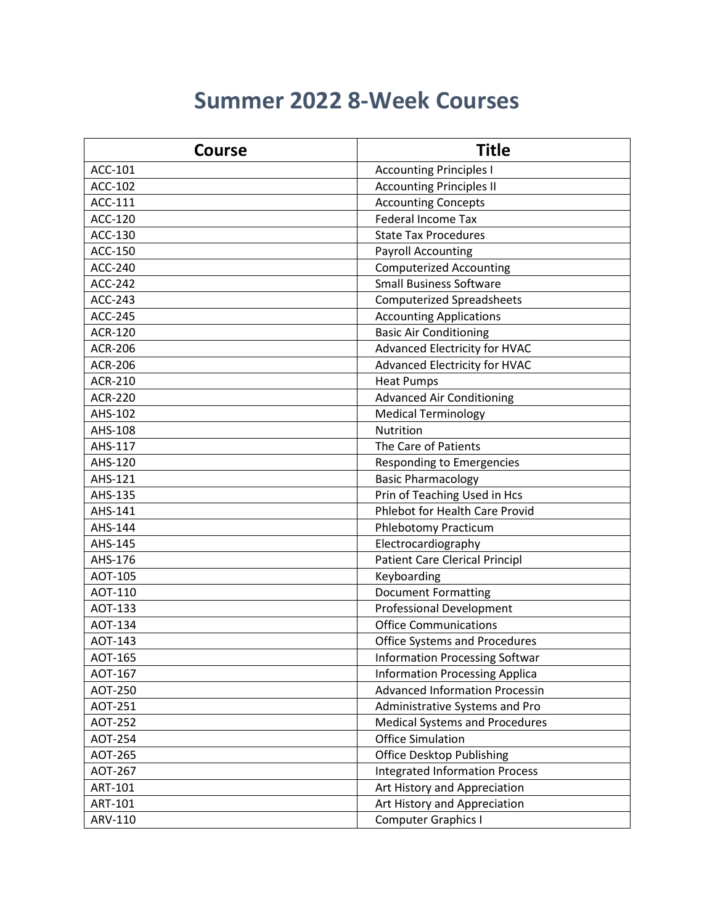## **Summer 2022 8-Week Courses**

| <b>Course</b>  | <b>Title</b>                          |
|----------------|---------------------------------------|
| ACC-101        | <b>Accounting Principles I</b>        |
| ACC-102        | <b>Accounting Principles II</b>       |
| ACC-111        | <b>Accounting Concepts</b>            |
| ACC-120        | <b>Federal Income Tax</b>             |
| ACC-130        | <b>State Tax Procedures</b>           |
| ACC-150        | <b>Payroll Accounting</b>             |
| <b>ACC-240</b> | <b>Computerized Accounting</b>        |
| <b>ACC-242</b> | <b>Small Business Software</b>        |
| <b>ACC-243</b> | <b>Computerized Spreadsheets</b>      |
| <b>ACC-245</b> | <b>Accounting Applications</b>        |
| <b>ACR-120</b> | <b>Basic Air Conditioning</b>         |
| <b>ACR-206</b> | Advanced Electricity for HVAC         |
| <b>ACR-206</b> | Advanced Electricity for HVAC         |
| <b>ACR-210</b> | <b>Heat Pumps</b>                     |
| <b>ACR-220</b> | <b>Advanced Air Conditioning</b>      |
| AHS-102        | <b>Medical Terminology</b>            |
| AHS-108        | Nutrition                             |
| AHS-117        | The Care of Patients                  |
| AHS-120        | <b>Responding to Emergencies</b>      |
| AHS-121        | <b>Basic Pharmacology</b>             |
| AHS-135        | Prin of Teaching Used in Hcs          |
| AHS-141        | Phlebot for Health Care Provid        |
| AHS-144        | Phlebotomy Practicum                  |
| AHS-145        | Electrocardiography                   |
| AHS-176        | <b>Patient Care Clerical Principl</b> |
| AOT-105        | Keyboarding                           |
| AOT-110        | <b>Document Formatting</b>            |
| AOT-133        | <b>Professional Development</b>       |
| AOT-134        | <b>Office Communications</b>          |
| AOT-143        | <b>Office Systems and Procedures</b>  |
| AOT-165        | <b>Information Processing Softwar</b> |
| AOT-167        | <b>Information Processing Applica</b> |
| AOT-250        | <b>Advanced Information Processin</b> |
| AOT-251        | Administrative Systems and Pro        |
| <b>AOT-252</b> | <b>Medical Systems and Procedures</b> |
| AOT-254        | <b>Office Simulation</b>              |
| AOT-265        | <b>Office Desktop Publishing</b>      |
| AOT-267        | <b>Integrated Information Process</b> |
| ART-101        | Art History and Appreciation          |
| ART-101        | Art History and Appreciation          |
| ARV-110        | <b>Computer Graphics I</b>            |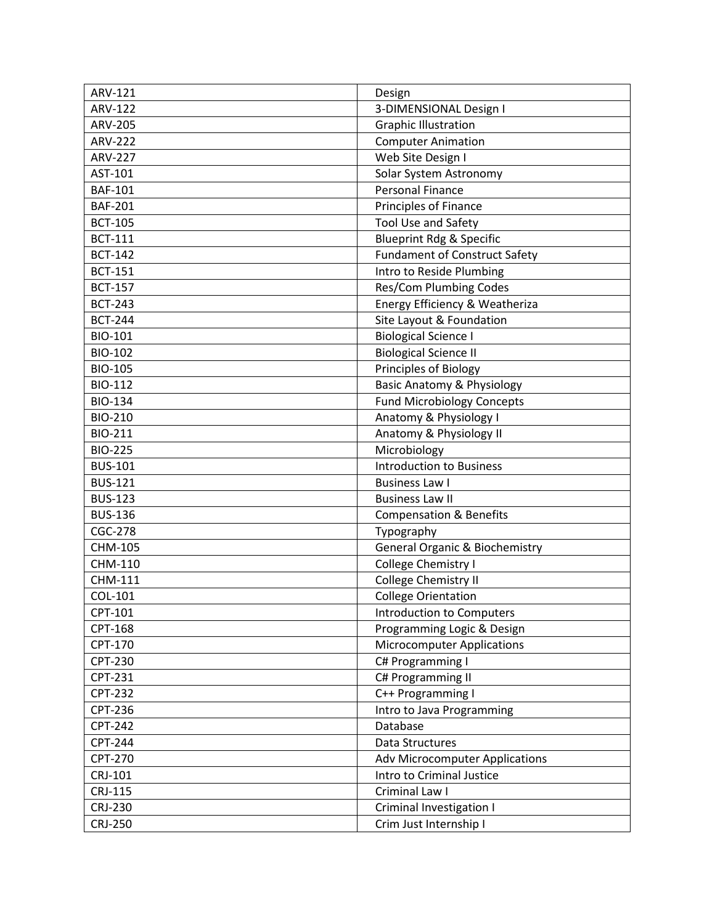| ARV-121        | Design                                    |
|----------------|-------------------------------------------|
| <b>ARV-122</b> | 3-DIMENSIONAL Design I                    |
| <b>ARV-205</b> | <b>Graphic Illustration</b>               |
| <b>ARV-222</b> | <b>Computer Animation</b>                 |
| <b>ARV-227</b> | Web Site Design I                         |
| AST-101        | Solar System Astronomy                    |
| <b>BAF-101</b> | <b>Personal Finance</b>                   |
| <b>BAF-201</b> | Principles of Finance                     |
| <b>BCT-105</b> | Tool Use and Safety                       |
| <b>BCT-111</b> | <b>Blueprint Rdg &amp; Specific</b>       |
| <b>BCT-142</b> | <b>Fundament of Construct Safety</b>      |
| <b>BCT-151</b> | Intro to Reside Plumbing                  |
| <b>BCT-157</b> | Res/Com Plumbing Codes                    |
| <b>BCT-243</b> | Energy Efficiency & Weatheriza            |
| <b>BCT-244</b> | Site Layout & Foundation                  |
| <b>BIO-101</b> | <b>Biological Science I</b>               |
| <b>BIO-102</b> | <b>Biological Science II</b>              |
| <b>BIO-105</b> | Principles of Biology                     |
| <b>BIO-112</b> | <b>Basic Anatomy &amp; Physiology</b>     |
| <b>BIO-134</b> | <b>Fund Microbiology Concepts</b>         |
| <b>BIO-210</b> | Anatomy & Physiology I                    |
| <b>BIO-211</b> | Anatomy & Physiology II                   |
| <b>BIO-225</b> | Microbiology                              |
| <b>BUS-101</b> | <b>Introduction to Business</b>           |
| <b>BUS-121</b> | <b>Business Law I</b>                     |
| <b>BUS-123</b> | <b>Business Law II</b>                    |
| <b>BUS-136</b> | <b>Compensation &amp; Benefits</b>        |
| <b>CGC-278</b> | Typography                                |
| CHM-105        | <b>General Organic &amp; Biochemistry</b> |
| CHM-110        | College Chemistry I                       |
| CHM-111        | College Chemistry II                      |
| COL-101        | <b>College Orientation</b>                |
| CPT-101        | Introduction to Computers                 |
| CPT-168        | Programming Logic & Design                |
| CPT-170        | <b>Microcomputer Applications</b>         |
| <b>CPT-230</b> | C# Programming I                          |
| CPT-231        | C# Programming II                         |
| <b>CPT-232</b> | C++ Programming I                         |
| CPT-236        | Intro to Java Programming                 |
| <b>CPT-242</b> | Database                                  |
| <b>CPT-244</b> | Data Structures                           |
| <b>CPT-270</b> | <b>Adv Microcomputer Applications</b>     |
| CRJ-101        | Intro to Criminal Justice                 |
| CRJ-115        | Criminal Law I                            |
| <b>CRJ-230</b> | <b>Criminal Investigation I</b>           |
| CRJ-250        | Crim Just Internship I                    |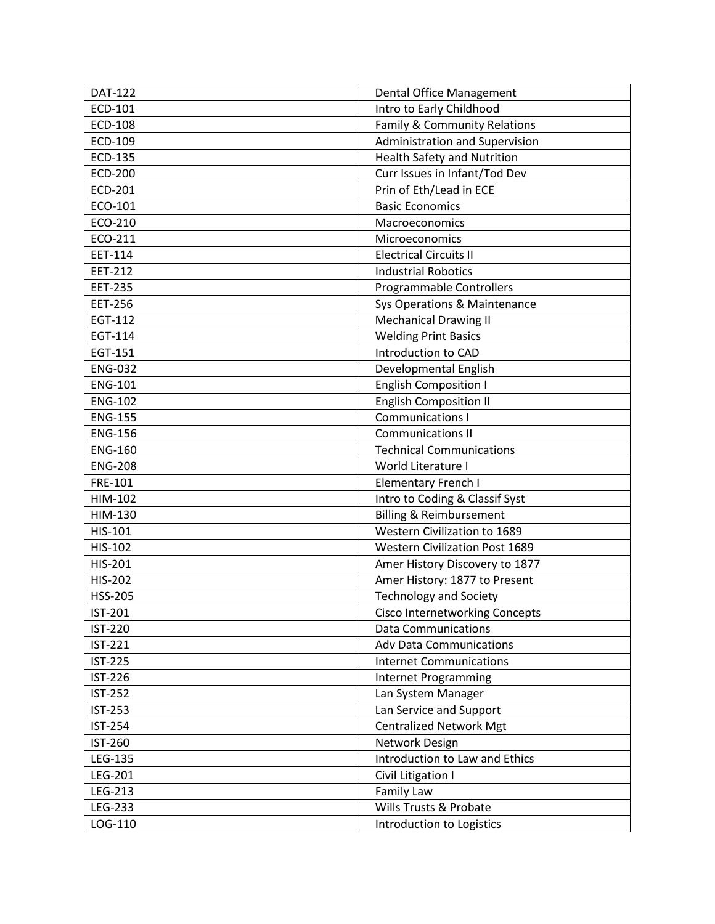| <b>DAT-122</b> | Dental Office Management              |
|----------------|---------------------------------------|
| ECD-101        | Intro to Early Childhood              |
| <b>ECD-108</b> | Family & Community Relations          |
| ECD-109        | Administration and Supervision        |
| <b>ECD-135</b> | <b>Health Safety and Nutrition</b>    |
| <b>ECD-200</b> | Curr Issues in Infant/Tod Dev         |
| <b>ECD-201</b> | Prin of Eth/Lead in ECE               |
| ECO-101        | <b>Basic Economics</b>                |
| ECO-210        | Macroeconomics                        |
| ECO-211        | Microeconomics                        |
| EET-114        | <b>Electrical Circuits II</b>         |
| <b>EET-212</b> | <b>Industrial Robotics</b>            |
| <b>EET-235</b> | Programmable Controllers              |
| <b>EET-256</b> | Sys Operations & Maintenance          |
| EGT-112        | <b>Mechanical Drawing II</b>          |
| EGT-114        | <b>Welding Print Basics</b>           |
| EGT-151        | Introduction to CAD                   |
| <b>ENG-032</b> | Developmental English                 |
| <b>ENG-101</b> | <b>English Composition I</b>          |
| <b>ENG-102</b> | <b>English Composition II</b>         |
| <b>ENG-155</b> | <b>Communications I</b>               |
| <b>ENG-156</b> | <b>Communications II</b>              |
| <b>ENG-160</b> | <b>Technical Communications</b>       |
| <b>ENG-208</b> | World Literature I                    |
| FRE-101        | <b>Elementary French I</b>            |
| HIM-102        | Intro to Coding & Classif Syst        |
| HIM-130        | <b>Billing &amp; Reimbursement</b>    |
| HIS-101        | Western Civilization to 1689          |
| HIS-102        | <b>Western Civilization Post 1689</b> |
| <b>HIS-201</b> | Amer History Discovery to 1877        |
| <b>HIS-202</b> | Amer History: 1877 to Present         |
| <b>HSS-205</b> | <b>Technology and Society</b>         |
| <b>IST-201</b> | <b>Cisco Internetworking Concepts</b> |
| <b>IST-220</b> | <b>Data Communications</b>            |
| <b>IST-221</b> | <b>Adv Data Communications</b>        |
| <b>IST-225</b> | <b>Internet Communications</b>        |
| <b>IST-226</b> | <b>Internet Programming</b>           |
| <b>IST-252</b> | Lan System Manager                    |
| <b>IST-253</b> | Lan Service and Support               |
| <b>IST-254</b> | <b>Centralized Network Mgt</b>        |
| IST-260        | Network Design                        |
| LEG-135        | Introduction to Law and Ethics        |
| LEG-201        | Civil Litigation I                    |
| LEG-213        | Family Law                            |
| LEG-233        | Wills Trusts & Probate                |
| LOG-110        | Introduction to Logistics             |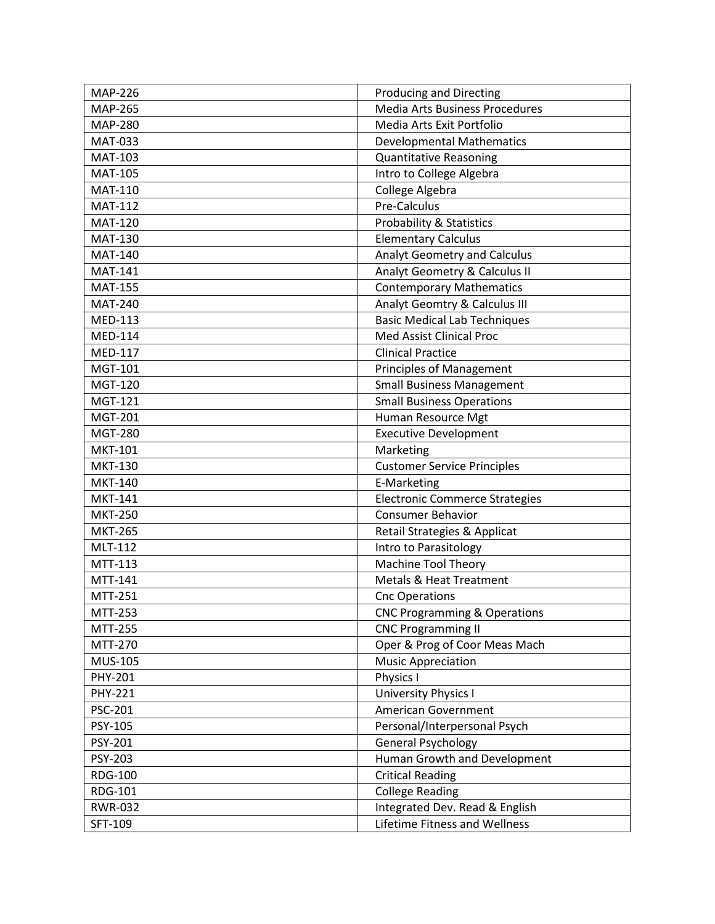| <b>MAP-226</b> | <b>Producing and Directing</b>          |
|----------------|-----------------------------------------|
| <b>MAP-265</b> | <b>Media Arts Business Procedures</b>   |
| <b>MAP-280</b> | Media Arts Exit Portfolio               |
| <b>MAT-033</b> | <b>Developmental Mathematics</b>        |
| <b>MAT-103</b> | <b>Quantitative Reasoning</b>           |
| <b>MAT-105</b> | Intro to College Algebra                |
| <b>MAT-110</b> | College Algebra                         |
| <b>MAT-112</b> | Pre-Calculus                            |
| <b>MAT-120</b> | <b>Probability &amp; Statistics</b>     |
| <b>MAT-130</b> | <b>Elementary Calculus</b>              |
| <b>MAT-140</b> | Analyt Geometry and Calculus            |
| <b>MAT-141</b> | Analyt Geometry & Calculus II           |
| <b>MAT-155</b> | <b>Contemporary Mathematics</b>         |
| <b>MAT-240</b> | Analyt Geomtry & Calculus III           |
| <b>MED-113</b> | <b>Basic Medical Lab Techniques</b>     |
| <b>MED-114</b> | <b>Med Assist Clinical Proc</b>         |
| <b>MED-117</b> | <b>Clinical Practice</b>                |
| MGT-101        | <b>Principles of Management</b>         |
| <b>MGT-120</b> | <b>Small Business Management</b>        |
| <b>MGT-121</b> | <b>Small Business Operations</b>        |
| <b>MGT-201</b> | Human Resource Mgt                      |
| <b>MGT-280</b> | <b>Executive Development</b>            |
| <b>MKT-101</b> | Marketing                               |
| <b>MKT-130</b> | <b>Customer Service Principles</b>      |
| <b>MKT-140</b> | E-Marketing                             |
| <b>MKT-141</b> | <b>Electronic Commerce Strategies</b>   |
| <b>MKT-250</b> | <b>Consumer Behavior</b>                |
| <b>MKT-265</b> | Retail Strategies & Applicat            |
| MLT-112        | Intro to Parasitology                   |
| MTT-113        | <b>Machine Tool Theory</b>              |
| MTT-141        | Metals & Heat Treatment                 |
| MTT-251        | <b>Cnc Operations</b>                   |
| MTT-253        | <b>CNC Programming &amp; Operations</b> |
| MTT-255        | <b>CNC Programming II</b>               |
| MTT-270        | Oper & Prog of Coor Meas Mach           |
| <b>MUS-105</b> | <b>Music Appreciation</b>               |
| PHY-201        | Physics I                               |
| <b>PHY-221</b> | <b>University Physics I</b>             |
| PSC-201        | <b>American Government</b>              |
| PSY-105        | Personal/Interpersonal Psych            |
| PSY-201        | General Psychology                      |
| PSY-203        | Human Growth and Development            |
| <b>RDG-100</b> | <b>Critical Reading</b>                 |
| <b>RDG-101</b> | <b>College Reading</b>                  |
| <b>RWR-032</b> | Integrated Dev. Read & English          |
| SFT-109        | Lifetime Fitness and Wellness           |